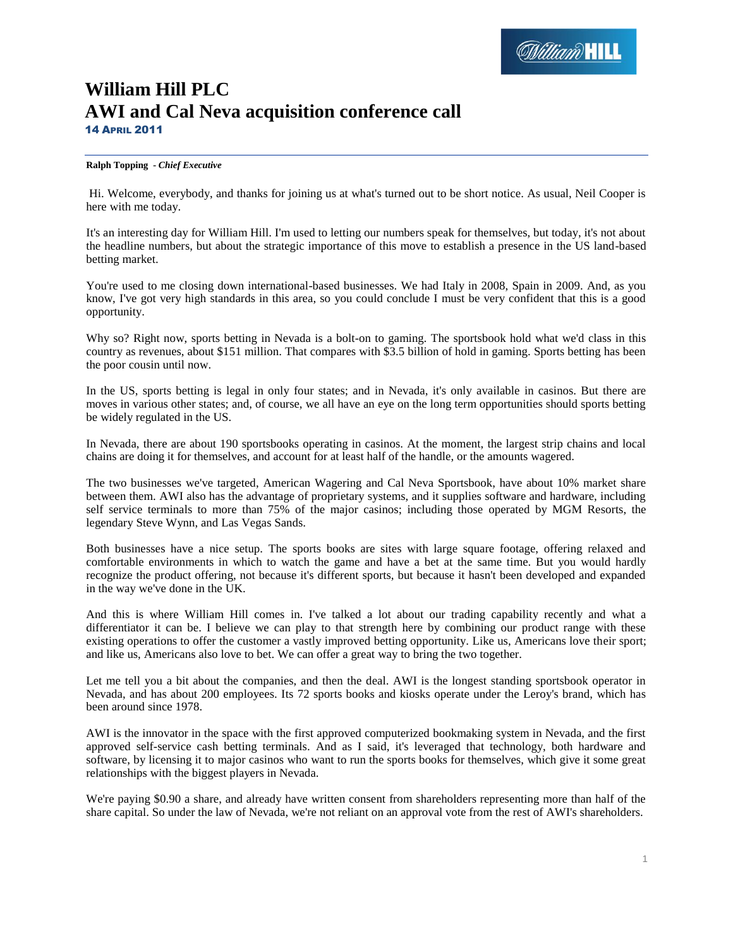# **William Hill PLC AWI and Cal Neva acquisition conference call** 14 APRIL 2011

# **Ralph Topping** *- Chief Executive*

Hi. Welcome, everybody, and thanks for joining us at what's turned out to be short notice. As usual, Neil Cooper is here with me today.

It's an interesting day for William Hill. I'm used to letting our numbers speak for themselves, but today, it's not about the headline numbers, but about the strategic importance of this move to establish a presence in the US land-based betting market.

You're used to me closing down international-based businesses. We had Italy in 2008, Spain in 2009. And, as you know, I've got very high standards in this area, so you could conclude I must be very confident that this is a good opportunity.

Why so? Right now, sports betting in Nevada is a bolt-on to gaming. The sportsbook hold what we'd class in this country as revenues, about \$151 million. That compares with \$3.5 billion of hold in gaming. Sports betting has been the poor cousin until now.

In the US, sports betting is legal in only four states; and in Nevada, it's only available in casinos. But there are moves in various other states; and, of course, we all have an eye on the long term opportunities should sports betting be widely regulated in the US.

In Nevada, there are about 190 sportsbooks operating in casinos. At the moment, the largest strip chains and local chains are doing it for themselves, and account for at least half of the handle, or the amounts wagered.

The two businesses we've targeted, American Wagering and Cal Neva Sportsbook, have about 10% market share between them. AWI also has the advantage of proprietary systems, and it supplies software and hardware, including self service terminals to more than 75% of the major casinos; including those operated by MGM Resorts, the legendary Steve Wynn, and Las Vegas Sands.

Both businesses have a nice setup. The sports books are sites with large square footage, offering relaxed and comfortable environments in which to watch the game and have a bet at the same time. But you would hardly recognize the product offering, not because it's different sports, but because it hasn't been developed and expanded in the way we've done in the UK.

And this is where William Hill comes in. I've talked a lot about our trading capability recently and what a differentiator it can be. I believe we can play to that strength here by combining our product range with these existing operations to offer the customer a vastly improved betting opportunity. Like us, Americans love their sport; and like us, Americans also love to bet. We can offer a great way to bring the two together.

Let me tell you a bit about the companies, and then the deal. AWI is the longest standing sportsbook operator in Nevada, and has about 200 employees. Its 72 sports books and kiosks operate under the Leroy's brand, which has been around since 1978.

AWI is the innovator in the space with the first approved computerized bookmaking system in Nevada, and the first approved self-service cash betting terminals. And as I said, it's leveraged that technology, both hardware and software, by licensing it to major casinos who want to run the sports books for themselves, which give it some great relationships with the biggest players in Nevada.

We're paying \$0.90 a share, and already have written consent from shareholders representing more than half of the share capital. So under the law of Nevada, we're not reliant on an approval vote from the rest of AWI's shareholders.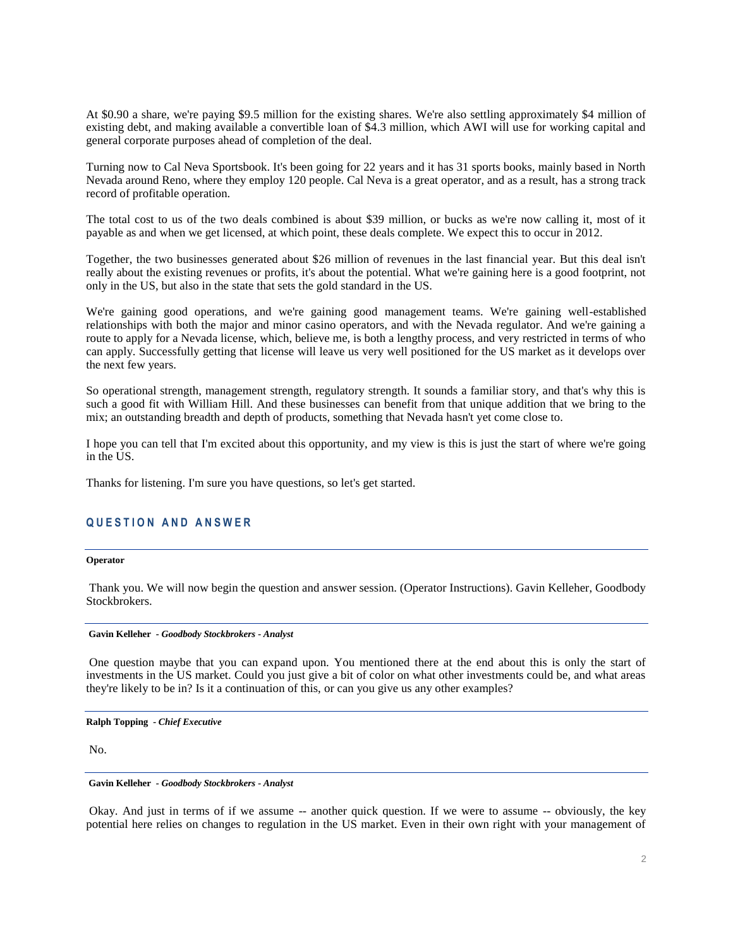At \$0.90 a share, we're paying \$9.5 million for the existing shares. We're also settling approximately \$4 million of existing debt, and making available a convertible loan of \$4.3 million, which AWI will use for working capital and general corporate purposes ahead of completion of the deal.

Turning now to Cal Neva Sportsbook. It's been going for 22 years and it has 31 sports books, mainly based in North Nevada around Reno, where they employ 120 people. Cal Neva is a great operator, and as a result, has a strong track record of profitable operation.

The total cost to us of the two deals combined is about \$39 million, or bucks as we're now calling it, most of it payable as and when we get licensed, at which point, these deals complete. We expect this to occur in 2012.

Together, the two businesses generated about \$26 million of revenues in the last financial year. But this deal isn't really about the existing revenues or profits, it's about the potential. What we're gaining here is a good footprint, not only in the US, but also in the state that sets the gold standard in the US.

We're gaining good operations, and we're gaining good management teams. We're gaining well-established relationships with both the major and minor casino operators, and with the Nevada regulator. And we're gaining a route to apply for a Nevada license, which, believe me, is both a lengthy process, and very restricted in terms of who can apply. Successfully getting that license will leave us very well positioned for the US market as it develops over the next few years.

So operational strength, management strength, regulatory strength. It sounds a familiar story, and that's why this is such a good fit with William Hill. And these businesses can benefit from that unique addition that we bring to the mix; an outstanding breadth and depth of products, something that Nevada hasn't yet come close to.

I hope you can tell that I'm excited about this opportunity, and my view is this is just the start of where we're going in the US.

Thanks for listening. I'm sure you have questions, so let's get started.

# **Q U E S T I O N A N D A N S W E R**

#### **Operator**

Thank you. We will now begin the question and answer session. (Operator Instructions). Gavin Kelleher, Goodbody Stockbrokers.

#### **Gavin Kelleher** *- Goodbody Stockbrokers - Analyst*

One question maybe that you can expand upon. You mentioned there at the end about this is only the start of investments in the US market. Could you just give a bit of color on what other investments could be, and what areas they're likely to be in? Is it a continuation of this, or can you give us any other examples?

**Ralph Topping** *- Chief Executive* 

No.

#### **Gavin Kelleher** *- Goodbody Stockbrokers - Analyst*

Okay. And just in terms of if we assume -- another quick question. If we were to assume -- obviously, the key potential here relies on changes to regulation in the US market. Even in their own right with your management of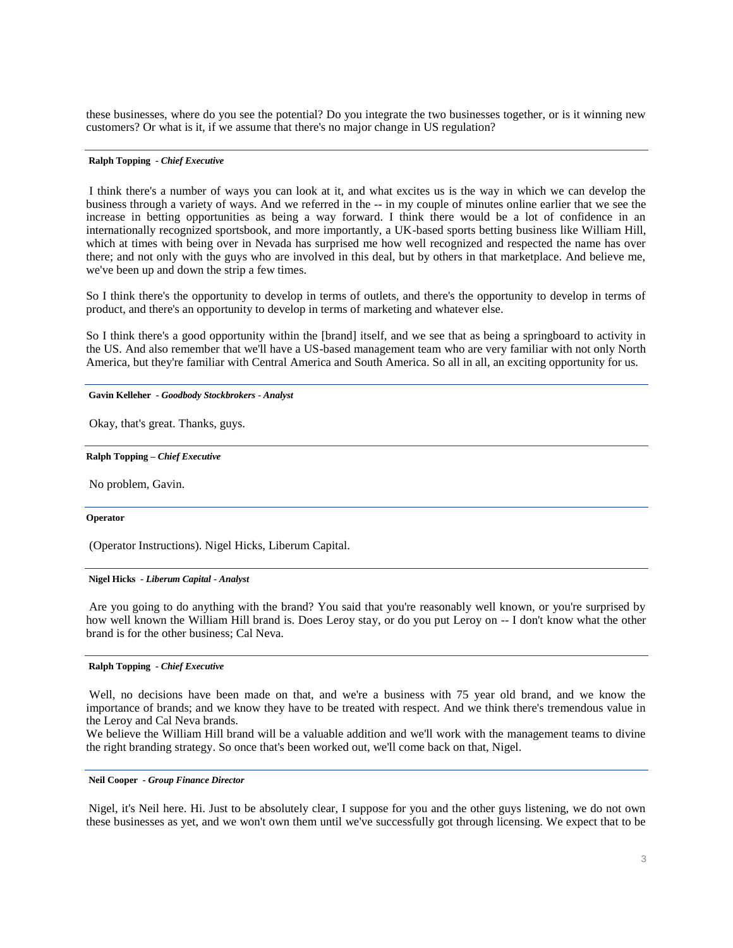these businesses, where do you see the potential? Do you integrate the two businesses together, or is it winning new customers? Or what is it, if we assume that there's no major change in US regulation?

#### **Ralph Topping** *- Chief Executive*

I think there's a number of ways you can look at it, and what excites us is the way in which we can develop the business through a variety of ways. And we referred in the -- in my couple of minutes online earlier that we see the increase in betting opportunities as being a way forward. I think there would be a lot of confidence in an internationally recognized sportsbook, and more importantly, a UK-based sports betting business like William Hill, which at times with being over in Nevada has surprised me how well recognized and respected the name has over there; and not only with the guys who are involved in this deal, but by others in that marketplace. And believe me, we've been up and down the strip a few times.

So I think there's the opportunity to develop in terms of outlets, and there's the opportunity to develop in terms of product, and there's an opportunity to develop in terms of marketing and whatever else.

So I think there's a good opportunity within the [brand] itself, and we see that as being a springboard to activity in the US. And also remember that we'll have a US-based management team who are very familiar with not only North America, but they're familiar with Central America and South America. So all in all, an exciting opportunity for us.

# **Gavin Kelleher** *- Goodbody Stockbrokers - Analyst*

Okay, that's great. Thanks, guys.

#### **Ralph Topping –** *Chief Executive*

No problem, Gavin.

#### **Operator**

(Operator Instructions). Nigel Hicks, Liberum Capital.

# **Nigel Hicks** *- Liberum Capital - Analyst*

Are you going to do anything with the brand? You said that you're reasonably well known, or you're surprised by how well known the William Hill brand is. Does Leroy stay, or do you put Leroy on -- I don't know what the other brand is for the other business; Cal Neva.

#### **Ralph Topping** *- Chief Executive*

Well, no decisions have been made on that, and we're a business with 75 year old brand, and we know the importance of brands; and we know they have to be treated with respect. And we think there's tremendous value in the Leroy and Cal Neva brands.

We believe the William Hill brand will be a valuable addition and we'll work with the management teams to divine the right branding strategy. So once that's been worked out, we'll come back on that, Nigel.

#### **Neil Cooper** *- Group Finance Director*

Nigel, it's Neil here. Hi. Just to be absolutely clear, I suppose for you and the other guys listening, we do not own these businesses as yet, and we won't own them until we've successfully got through licensing. We expect that to be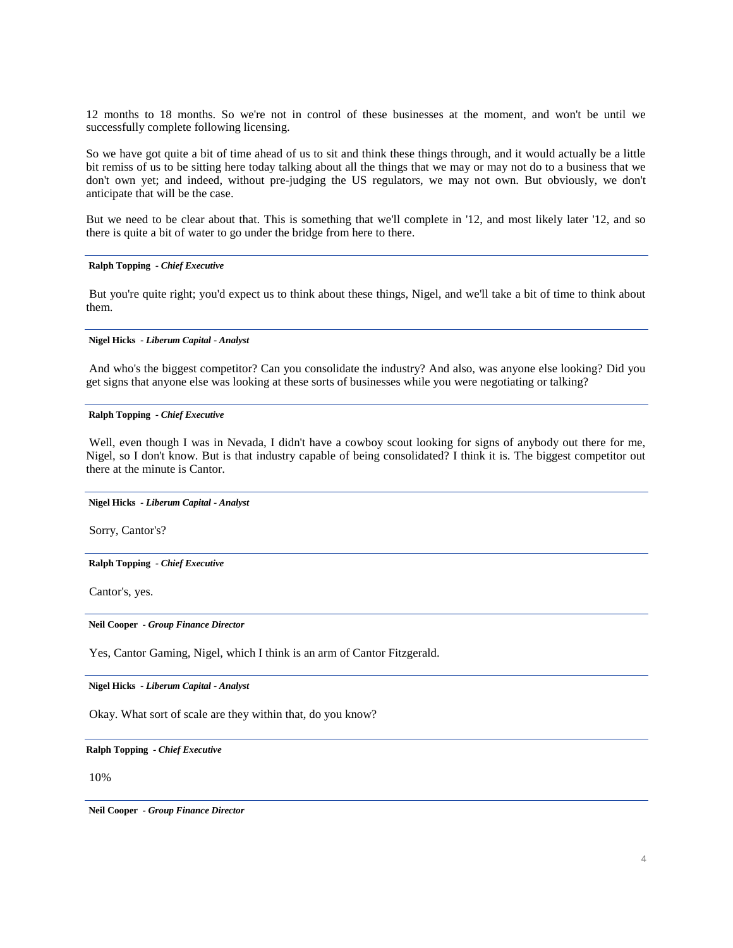12 months to 18 months. So we're not in control of these businesses at the moment, and won't be until we successfully complete following licensing.

So we have got quite a bit of time ahead of us to sit and think these things through, and it would actually be a little bit remiss of us to be sitting here today talking about all the things that we may or may not do to a business that we don't own yet; and indeed, without pre-judging the US regulators, we may not own. But obviously, we don't anticipate that will be the case.

But we need to be clear about that. This is something that we'll complete in '12, and most likely later '12, and so there is quite a bit of water to go under the bridge from here to there.

# **Ralph Topping** *- Chief Executive*

But you're quite right; you'd expect us to think about these things, Nigel, and we'll take a bit of time to think about them.

#### **Nigel Hicks** *- Liberum Capital - Analyst*

And who's the biggest competitor? Can you consolidate the industry? And also, was anyone else looking? Did you get signs that anyone else was looking at these sorts of businesses while you were negotiating or talking?

# **Ralph Topping** *- Chief Executive*

Well, even though I was in Nevada, I didn't have a cowboy scout looking for signs of anybody out there for me, Nigel, so I don't know. But is that industry capable of being consolidated? I think it is. The biggest competitor out there at the minute is Cantor.

#### **Nigel Hicks** *- Liberum Capital - Analyst*

Sorry, Cantor's?

#### **Ralph Topping** *- Chief Executive*

Cantor's, yes.

**Neil Cooper** *- Group Finance Director*

Yes, Cantor Gaming, Nigel, which I think is an arm of Cantor Fitzgerald.

**Nigel Hicks** *- Liberum Capital - Analyst* 

Okay. What sort of scale are they within that, do you know?

**Ralph Topping** *- Chief Executive* 

10%

**Neil Cooper** *- Group Finance Director*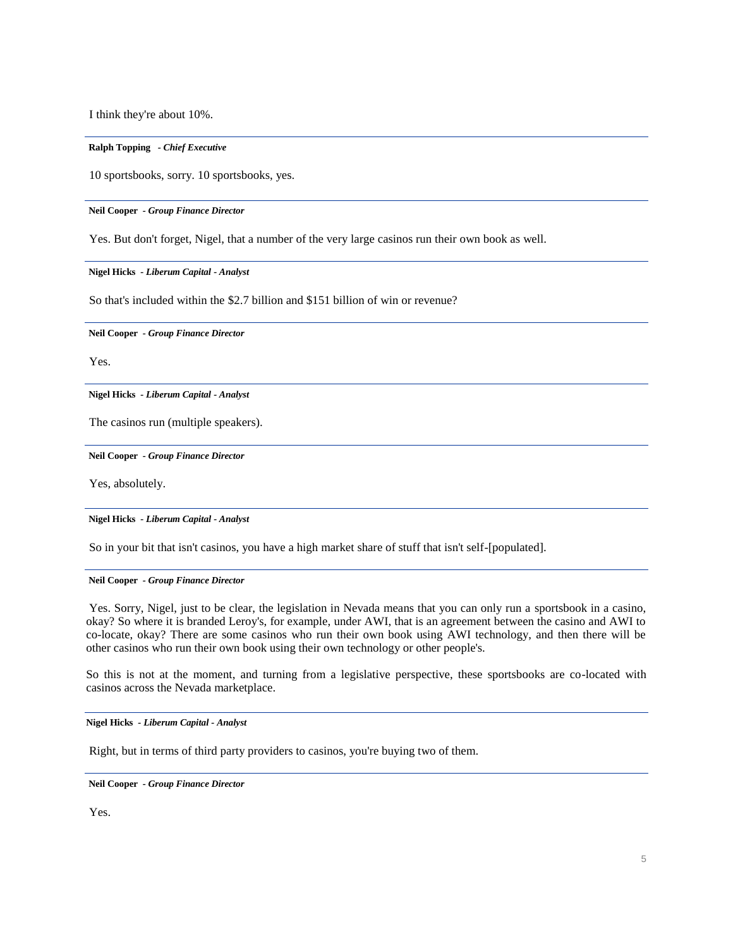I think they're about 10%.

#### **Ralph Topping** *- Chief Executive*

10 sportsbooks, sorry. 10 sportsbooks, yes.

**Neil Cooper** *- Group Finance Director*

Yes. But don't forget, Nigel, that a number of the very large casinos run their own book as well.

**Nigel Hicks** *- Liberum Capital - Analyst* 

So that's included within the \$2.7 billion and \$151 billion of win or revenue?

**Neil Cooper** *- Group Finance Director*

Yes.

**Nigel Hicks** *- Liberum Capital - Analyst* 

The casinos run (multiple speakers).

**Neil Cooper** *- Group Finance Director*

Yes, absolutely.

**Nigel Hicks** *- Liberum Capital - Analyst* 

So in your bit that isn't casinos, you have a high market share of stuff that isn't self-[populated].

# **Neil Cooper** *- Group Finance Director*

Yes. Sorry, Nigel, just to be clear, the legislation in Nevada means that you can only run a sportsbook in a casino, okay? So where it is branded Leroy's, for example, under AWI, that is an agreement between the casino and AWI to co-locate, okay? There are some casinos who run their own book using AWI technology, and then there will be other casinos who run their own book using their own technology or other people's.

So this is not at the moment, and turning from a legislative perspective, these sportsbooks are co-located with casinos across the Nevada marketplace.

**Nigel Hicks** *- Liberum Capital - Analyst* 

Right, but in terms of third party providers to casinos, you're buying two of them.

**Neil Cooper** *- Group Finance Director*

Yes.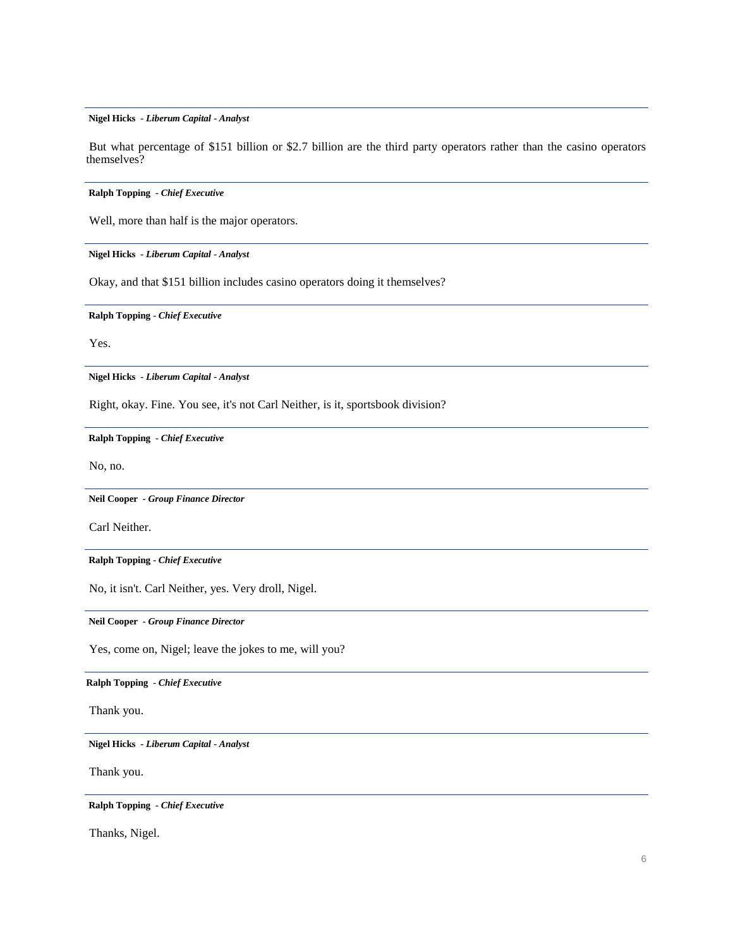**Nigel Hicks** *- Liberum Capital - Analyst* 

But what percentage of \$151 billion or \$2.7 billion are the third party operators rather than the casino operators themselves?

**Ralph Topping** *- Chief Executive* 

Well, more than half is the major operators.

**Nigel Hicks** *- Liberum Capital - Analyst* 

Okay, and that \$151 billion includes casino operators doing it themselves?

**Ralph Topping** *- Chief Executive* 

Yes.

**Nigel Hicks** *- Liberum Capital - Analyst* 

Right, okay. Fine. You see, it's not Carl Neither, is it, sportsbook division?

**Ralph Topping** *- Chief Executive* 

No, no.

**Neil Cooper** *- Group Finance Director*

Carl Neither.

**Ralph Topping** *- Chief Executive* 

No, it isn't. Carl Neither, yes. Very droll, Nigel.

**Neil Cooper** *- Group Finance Director*

Yes, come on, Nigel; leave the jokes to me, will you?

**Ralph Topping** *- Chief Executive* 

Thank you.

**Nigel Hicks** *- Liberum Capital - Analyst* 

Thank you.

**Ralph Topping** *- Chief Executive* 

Thanks, Nigel.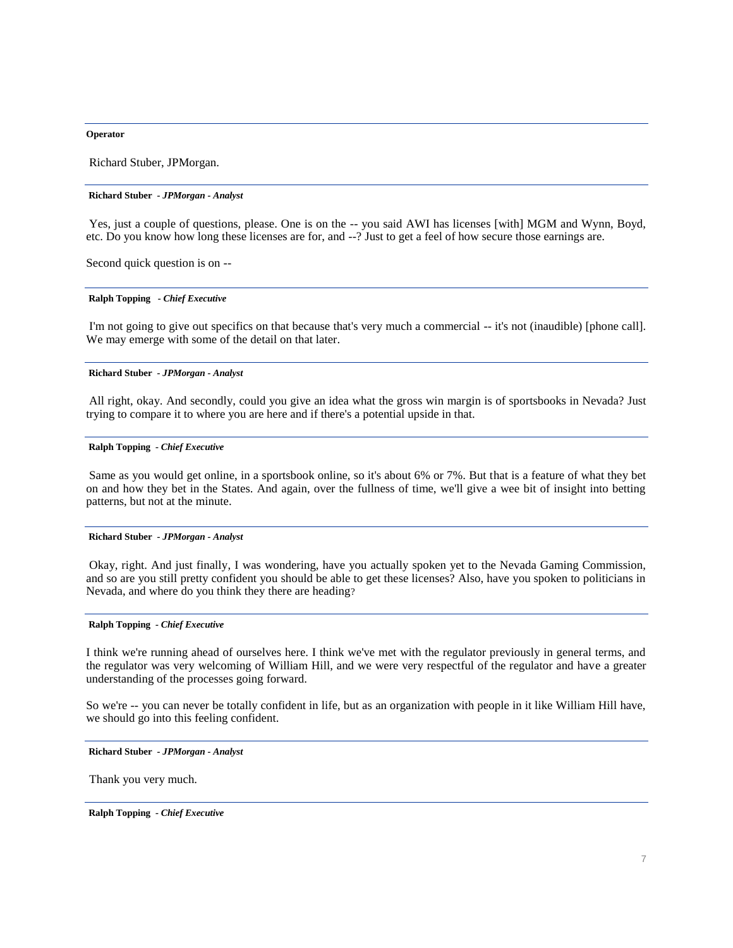#### **Operator**

Richard Stuber, JPMorgan.

#### **Richard Stuber** *- JPMorgan - Analyst*

Yes, just a couple of questions, please. One is on the -- you said AWI has licenses [with] MGM and Wynn, Boyd, etc. Do you know how long these licenses are for, and --? Just to get a feel of how secure those earnings are.

Second quick question is on --

#### **Ralph Topping** *- Chief Executive*

I'm not going to give out specifics on that because that's very much a commercial -- it's not (inaudible) [phone call]. We may emerge with some of the detail on that later.

#### **Richard Stuber** *- JPMorgan - Analyst*

All right, okay. And secondly, could you give an idea what the gross win margin is of sportsbooks in Nevada? Just trying to compare it to where you are here and if there's a potential upside in that.

# **Ralph Topping** *- Chief Executive*

Same as you would get online, in a sportsbook online, so it's about 6% or 7%. But that is a feature of what they bet on and how they bet in the States. And again, over the fullness of time, we'll give a wee bit of insight into betting patterns, but not at the minute.

#### **Richard Stuber** *- JPMorgan - Analyst*

Okay, right. And just finally, I was wondering, have you actually spoken yet to the Nevada Gaming Commission, and so are you still pretty confident you should be able to get these licenses? Also, have you spoken to politicians in Nevada, and where do you think they there are heading?

# **Ralph Topping** *- Chief Executive*

I think we're running ahead of ourselves here. I think we've met with the regulator previously in general terms, and the regulator was very welcoming of William Hill, and we were very respectful of the regulator and have a greater understanding of the processes going forward.

So we're -- you can never be totally confident in life, but as an organization with people in it like William Hill have, we should go into this feeling confident.

**Richard Stuber** *- JPMorgan - Analyst* 

Thank you very much.

**Ralph Topping** *- Chief Executive*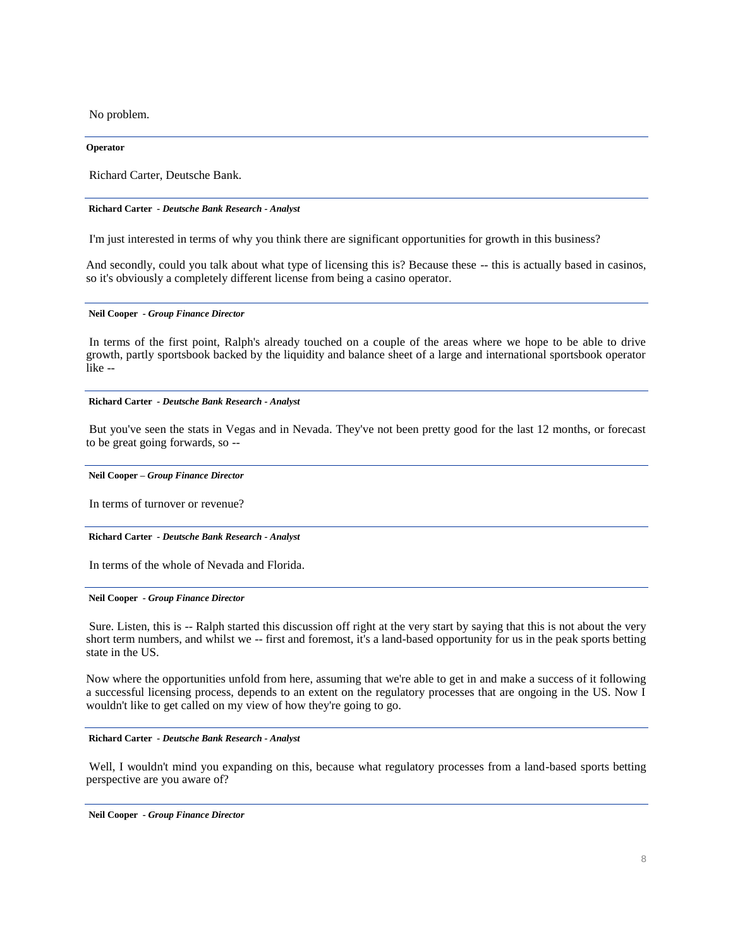No problem.

**Operator**

Richard Carter, Deutsche Bank.

#### **Richard Carter** *- Deutsche Bank Research - Analyst*

I'm just interested in terms of why you think there are significant opportunities for growth in this business?

And secondly, could you talk about what type of licensing this is? Because these -- this is actually based in casinos, so it's obviously a completely different license from being a casino operator.

#### **Neil Cooper** *- Group Finance Director*

In terms of the first point, Ralph's already touched on a couple of the areas where we hope to be able to drive growth, partly sportsbook backed by the liquidity and balance sheet of a large and international sportsbook operator like --

#### **Richard Carter** *- Deutsche Bank Research - Analyst*

But you've seen the stats in Vegas and in Nevada. They've not been pretty good for the last 12 months, or forecast to be great going forwards, so --

#### **Neil Cooper** *– Group Finance Director*

In terms of turnover or revenue?

**Richard Carter** *- Deutsche Bank Research - Analyst* 

In terms of the whole of Nevada and Florida.

### **Neil Cooper** *- Group Finance Director*

Sure. Listen, this is -- Ralph started this discussion off right at the very start by saying that this is not about the very short term numbers, and whilst we -- first and foremost, it's a land-based opportunity for us in the peak sports betting state in the US.

Now where the opportunities unfold from here, assuming that we're able to get in and make a success of it following a successful licensing process, depends to an extent on the regulatory processes that are ongoing in the US. Now I wouldn't like to get called on my view of how they're going to go.

#### **Richard Carter** *- Deutsche Bank Research - Analyst*

Well, I wouldn't mind you expanding on this, because what regulatory processes from a land-based sports betting perspective are you aware of?

**Neil Cooper** *- Group Finance Director*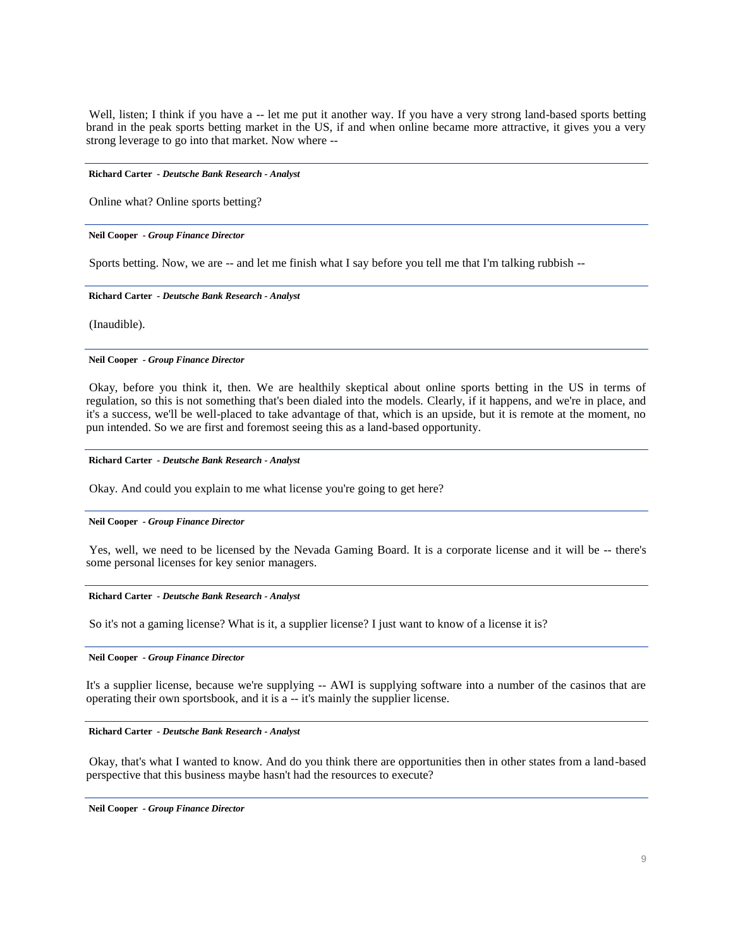Well, listen; I think if you have a -- let me put it another way. If you have a very strong land-based sports betting brand in the peak sports betting market in the US, if and when online became more attractive, it gives you a very strong leverage to go into that market. Now where --

#### **Richard Carter** *- Deutsche Bank Research - Analyst*

Online what? Online sports betting?

#### **Neil Cooper** *- Group Finance Director*

Sports betting. Now, we are -- and let me finish what I say before you tell me that I'm talking rubbish --

#### **Richard Carter** *- Deutsche Bank Research - Analyst*

(Inaudible).

#### **Neil Cooper** *- Group Finance Director*

Okay, before you think it, then. We are healthily skeptical about online sports betting in the US in terms of regulation, so this is not something that's been dialed into the models. Clearly, if it happens, and we're in place, and it's a success, we'll be well-placed to take advantage of that, which is an upside, but it is remote at the moment, no pun intended. So we are first and foremost seeing this as a land-based opportunity.

#### **Richard Carter** *- Deutsche Bank Research - Analyst*

Okay. And could you explain to me what license you're going to get here?

#### **Neil Cooper** *- Group Finance Director*

Yes, well, we need to be licensed by the Nevada Gaming Board. It is a corporate license and it will be -- there's some personal licenses for key senior managers.

#### **Richard Carter** *- Deutsche Bank Research - Analyst*

So it's not a gaming license? What is it, a supplier license? I just want to know of a license it is?

#### **Neil Cooper** *- Group Finance Director*

It's a supplier license, because we're supplying -- AWI is supplying software into a number of the casinos that are operating their own sportsbook, and it is a -- it's mainly the supplier license.

**Richard Carter** *- Deutsche Bank Research - Analyst* 

Okay, that's what I wanted to know. And do you think there are opportunities then in other states from a land-based perspective that this business maybe hasn't had the resources to execute?

**Neil Cooper** *- Group Finance Director*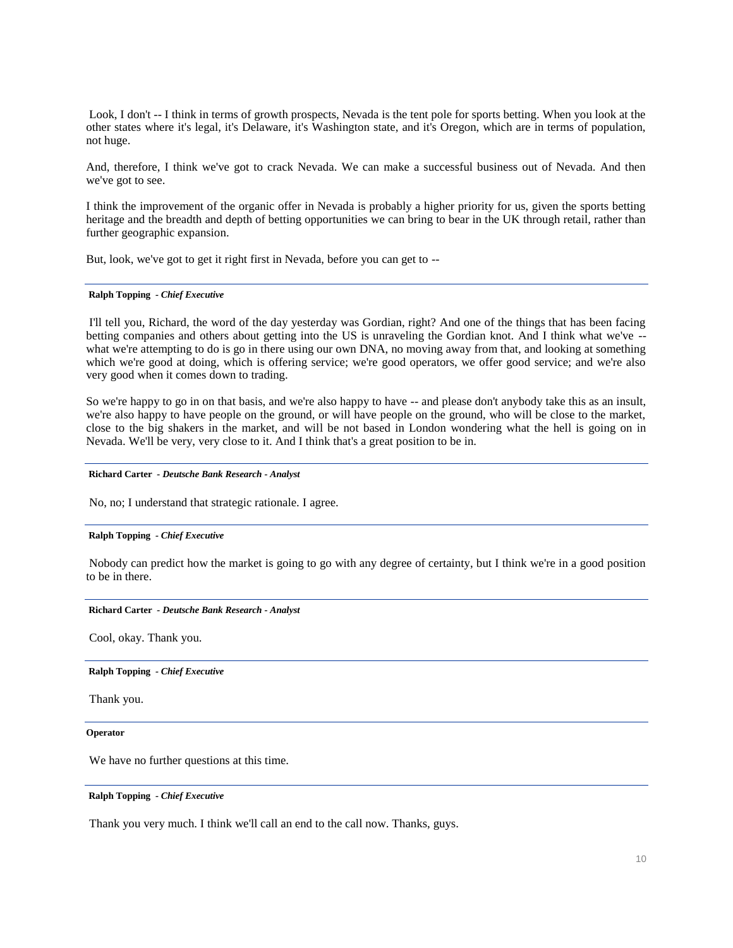Look, I don't -- I think in terms of growth prospects, Nevada is the tent pole for sports betting. When you look at the other states where it's legal, it's Delaware, it's Washington state, and it's Oregon, which are in terms of population, not huge.

And, therefore, I think we've got to crack Nevada. We can make a successful business out of Nevada. And then we've got to see.

I think the improvement of the organic offer in Nevada is probably a higher priority for us, given the sports betting heritage and the breadth and depth of betting opportunities we can bring to bear in the UK through retail, rather than further geographic expansion.

But, look, we've got to get it right first in Nevada, before you can get to --

# **Ralph Topping** *- Chief Executive*

I'll tell you, Richard, the word of the day yesterday was Gordian, right? And one of the things that has been facing betting companies and others about getting into the US is unraveling the Gordian knot. And I think what we've - what we're attempting to do is go in there using our own DNA, no moving away from that, and looking at something which we're good at doing, which is offering service; we're good operators, we offer good service; and we're also very good when it comes down to trading.

So we're happy to go in on that basis, and we're also happy to have -- and please don't anybody take this as an insult, we're also happy to have people on the ground, or will have people on the ground, who will be close to the market, close to the big shakers in the market, and will be not based in London wondering what the hell is going on in Nevada. We'll be very, very close to it. And I think that's a great position to be in.

# **Richard Carter** *- Deutsche Bank Research - Analyst*

No, no; I understand that strategic rationale. I agree.

#### **Ralph Topping** *- Chief Executive*

Nobody can predict how the market is going to go with any degree of certainty, but I think we're in a good position to be in there.

#### **Richard Carter** *- Deutsche Bank Research - Analyst*

Cool, okay. Thank you.

**Ralph Topping** *- Chief Executive* 

Thank you.

**Operator**

We have no further questions at this time.

#### **Ralph Topping** *- Chief Executive*

Thank you very much. I think we'll call an end to the call now. Thanks, guys.